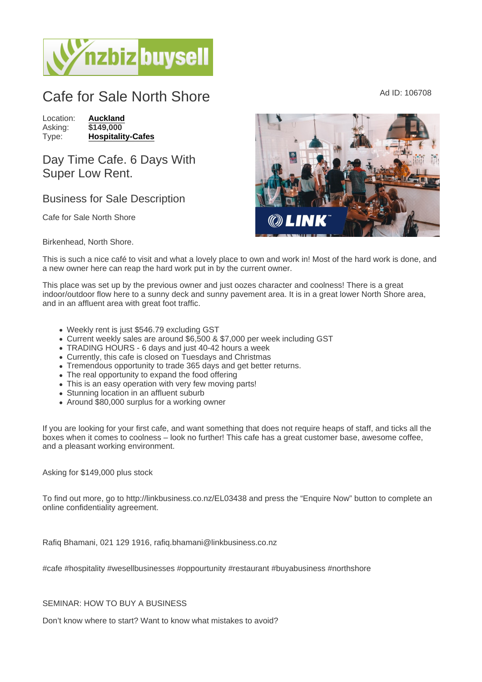# Cafe for Sale North Shore  $A<sub>d</sub>$  ID: 106708

Location: [Auckland](https://www.nzbizbuysell.co.nz/businesses-for-sale/location/Auckland) Asking: \$149,000<br>Type: Hospitality [Hospitality-Cafes](https://www.nzbizbuysell.co.nz/businesses-for-sale/Cafes/New-Zealand)

## Day Time Cafe. 6 Days With Super Low Rent.

## Business for Sale Description

Cafe for Sale North Shore

#### Birkenhead, North Shore.

This is such a nice café to visit and what a lovely place to own and work in! Most of the hard work is done, and a new owner here can reap the hard work put in by the current owner.

This place was set up by the previous owner and just oozes character and coolness! There is a great indoor/outdoor flow here to a sunny deck and sunny pavement area. It is in a great lower North Shore area, and in an affluent area with great foot traffic.

- Weekly rent is just \$546.79 excluding GST
- Current weekly sales are around \$6,500 & \$7,000 per week including GST
- TRADING HOURS 6 days and just 40-42 hours a week
- Currently, this cafe is closed on Tuesdays and Christmas
- Tremendous opportunity to trade 365 days and get better returns.
- The real opportunity to expand the food offering
- This is an easy operation with very few moving parts!
- Stunning location in an affluent suburb
- Around \$80,000 surplus for a working owner

If you are looking for your first cafe, and want something that does not require heaps of staff, and ticks all the boxes when it comes to coolness – look no further! This cafe has a great customer base, awesome coffee, and a pleasant working environment.

Asking for \$149,000 plus stock

To find out more, go to http://linkbusiness.co.nz/EL03438 and press the "Enquire Now" button to complete an online confidentiality agreement.

Rafiq Bhamani, 021 129 1916, rafiq.bhamani@linkbusiness.co.nz

#cafe #hospitality #wesellbusinesses #oppourtunity #restaurant #buyabusiness #northshore

### SEMINAR: HOW TO BUY A BUSINESS

Don't know where to start? Want to know what mistakes to avoid?